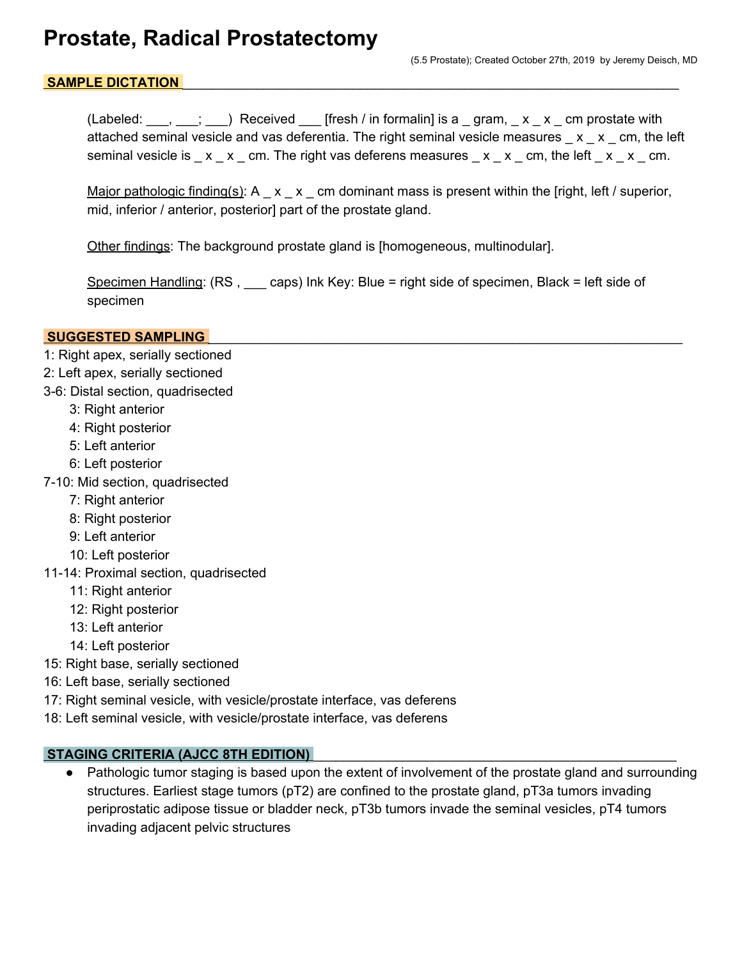## **Prostate, Radical Prostatectomy**

#### SAMPLE DICTATION

(Labeled:  $\ldots$ ,  $\ldots$ ;  $\ldots$ ) Received [fresh / in formalin] is a gram,  $\ldots$  x  $\ldots$  cm prostate with attached seminal vesicle and vas deferentia. The right seminal vesicle measures  $x \times x$  cm, the left seminal vesicle is  $\mathbf{x} \cdot \mathbf{x}$  cm. The right vas deferens measures  $\mathbf{x} \cdot \mathbf{x}$  cm, the left  $\mathbf{x} \cdot \mathbf{x}$  cm.

Major pathologic finding(s):  $A_x = x_x$  cm dominant mass is present within the [right, left / superior, mid, inferior / anterior, posterior] part of the prostate gland.

Other findings: The background prostate gland is [homogeneous, multinodular].

Specimen Handling: (RS, caps) Ink Key: Blue = right side of specimen, Black = left side of specimen

#### **SUGGESTED SAMPLING**

- 1: Right apex, serially sectioned
- 2: Left apex, serially sectioned
- 3-6: Distal section, quadrisected
	- 3: Right anterior
	- 4: Right posterior
	- 5: Left anterior
	- 6: Left posterior
- 7-10: Mid section, quadrisected
	- 7: Right anterior
	- 8: Right posterior
	- 9: Left anterior
	- 10: Left posterior
- 11-14: Proximal section, quadrisected
	- 11: Right anterior
	- 12: Right posterior
	- 13: Left anterior
	- 14: Left posterior
- 15: Right base, serially sectioned
- 16: Left base, serially sectioned
- 17: Right seminal vesicle, with vesicle/prostate interface, vas deferens
- 18: Left seminal vesicle, with vesicle/prostate interface, vas deferens

#### STAGING CRITERIA (AJCC 8TH EDITION)

● Pathologic tumor staging is based upon the extent of involvement of the prostate gland and surrounding structures. Earliest stage tumors (pT2) are confined to the prostate gland, pT3a tumors invading periprostatic adipose tissue or bladder neck, pT3b tumors invade the seminal vesicles, pT4 tumors invading adjacent pelvic structures